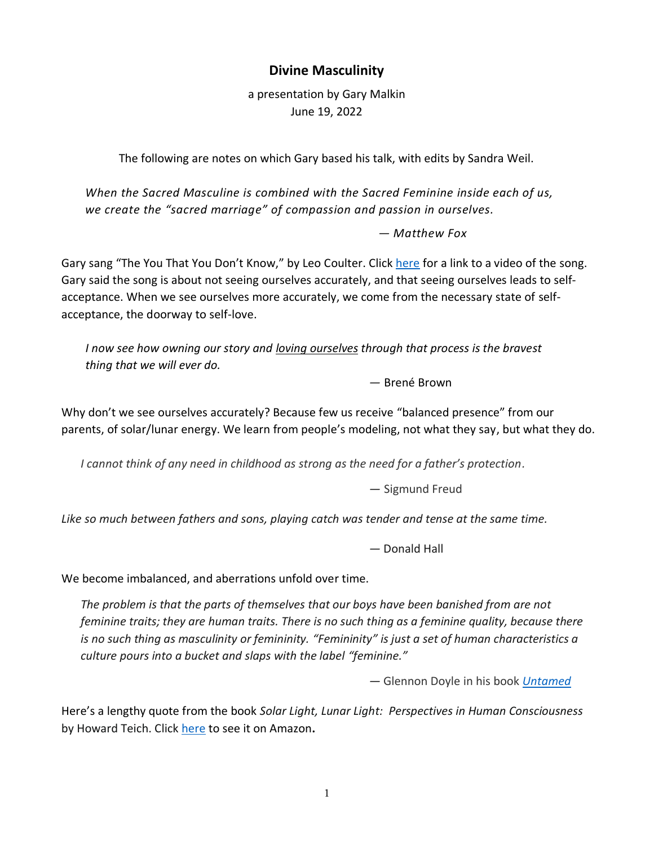## **Divine Masculinity**

a presentation by Gary Malkin June 19, 2022

The following are notes on which Gary based his talk, with edits by Sandra Weil.

*When the Sacred Masculine is combined with the Sacred Feminine inside each of us, we create the "sacred marriage" of compassion and passion in ourselves.*

*― Matthew Fox*

Gary sang "The You That You Don't Know," by Leo Coulter. Click [here](https://www.youtube.com/watch?v=XeJG8uCVDIU) for a link to a video of the song. Gary said the song is about not seeing ourselves accurately, and that seeing ourselves leads to selfacceptance. When we see ourselves more accurately, we come from the necessary state of selfacceptance, the doorway to self-love.

*I now see how owning our story and loving [ourselves](https://everydaypowerblog.com/robert-frost-quotes/) through that process is the bravest thing that we will ever do.*

*―* Brené Brown

Why don't we see ourselves accurately? Because few us receive "balanced presence" from our parents, of solar/lunar energy. We learn from people's modeling, not what they say, but what they do.

*I cannot think of any need in childhood as strong as the need for a father's protection.*

*―* Sigmund Freud

*Like so much between fathers and sons, playing catch was tender and tense at the same time.*

*―* Donald Hall

We become imbalanced, and aberrations unfold over time.

*The problem is that the parts of themselves that our boys have been banished from are not feminine traits; they are human traits. There is no such thing as a feminine quality, because there is no such thing as masculinity or femininity. "Femininity" is just a set of human characteristics a culture pours into a bucket and slaps with the label "feminine."*

*―* Glennon Doyle in his book *[Untamed](https://www.goodreads.com/book/show/52129515-untamed)*

Here's a lengthy quote from the book *Solar Light, Lunar Light: Perspectives in Human Consciousness* by Howard Teich. Click [here](https://www.amazon.com/Solar-Light-Lunar-Perspectives-Consciousness/dp/1926975057/ref=sr_1_1?crid=2O197ODPHFD8I&keywords=solar+light%2C+lunar+light%3A+perspectives+in+human+consciousness&qid=1655701041&sprefix=%2Caps%2C105&sr=8-1) to see it on Amazon**.**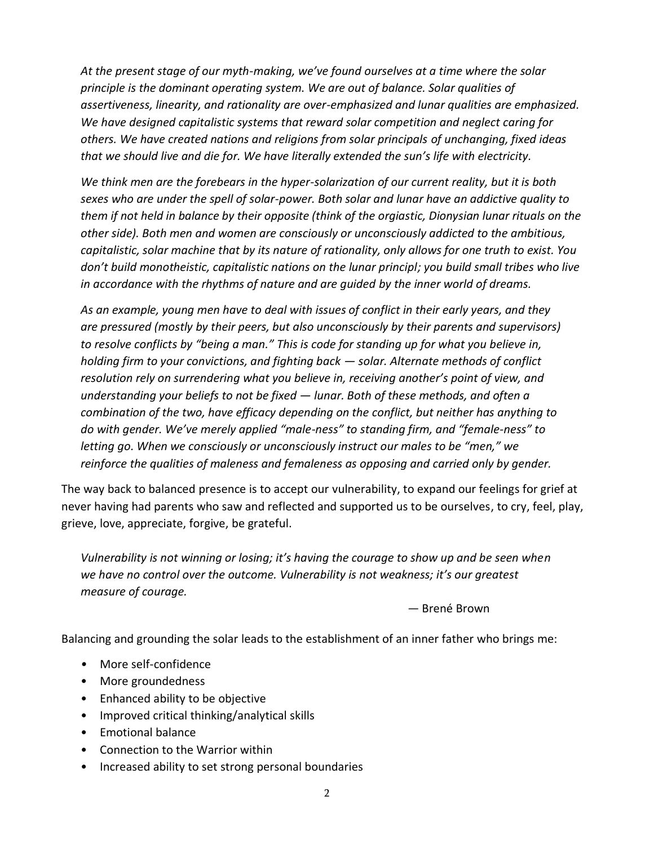*At the present stage of our myth-making, we've found ourselves at a time where the solar principle is the dominant operating system. We are out of balance. Solar qualities of assertiveness, linearity, and rationality are over-emphasized and lunar qualities are emphasized. We have designed capitalistic systems that reward solar competition and neglect caring for others. We have created nations and religions from solar principals of unchanging, fixed ideas that we should live and die for. We have literally extended the sun's life with electricity.*

*We think men are the forebears in the hyper-solarization of our current reality, but it is both sexes who are under the spell of solar-power. Both solar and lunar have an addictive quality to them if not held in balance by their opposite (think of the orgiastic, Dionysian lunar rituals on the other side). Both men and women are consciously or unconsciously addicted to the ambitious, capitalistic, solar machine that by its nature of rationality, only allows for one truth to exist. You don't build monotheistic, capitalistic nations on the lunar principl; you build small tribes who live in accordance with the rhythms of nature and are guided by the inner world of dreams.*

*As an example, young men have to deal with issues of conflict in their early years, and they are pressured (mostly by their peers, but also unconsciously by their parents and supervisors) to resolve conflicts by "being a man." This is code for standing up for what you believe in, holding firm to your convictions, and fighting back — solar. Alternate methods of conflict resolution rely on surrendering what you believe in, receiving another's point of view, and understanding your beliefs to not be fixed — lunar. Both of these methods, and often a combination of the two, have efficacy depending on the conflict, but neither has anything to do with gender. We've merely applied "male-ness" to standing firm, and "female-ness" to letting go. When we consciously or unconsciously instruct our males to be "men," we reinforce the qualities of maleness and femaleness as opposing and carried only by gender.*

The way back to balanced presence is to accept our vulnerability, to expand our feelings for grief at never having had parents who saw and reflected and supported us to be ourselves, to cry, feel, play, grieve, love, appreciate, forgive, be grateful.

*Vulnerability is not winning or losing; it's having the courage to show up and be seen when we have no control over the outcome. Vulnerability is not weakness; it's our greatest measure of courage.* 

*―* Brené Brown

Balancing and grounding the solar leads to the establishment of an inner father who brings me:

- *•* More self-confidence
- More groundedness
- Enhanced ability to be objective
- Improved critical thinking/analytical skills
- Emotional balance
- Connection to the Warrior within
- Increased ability to set strong personal boundaries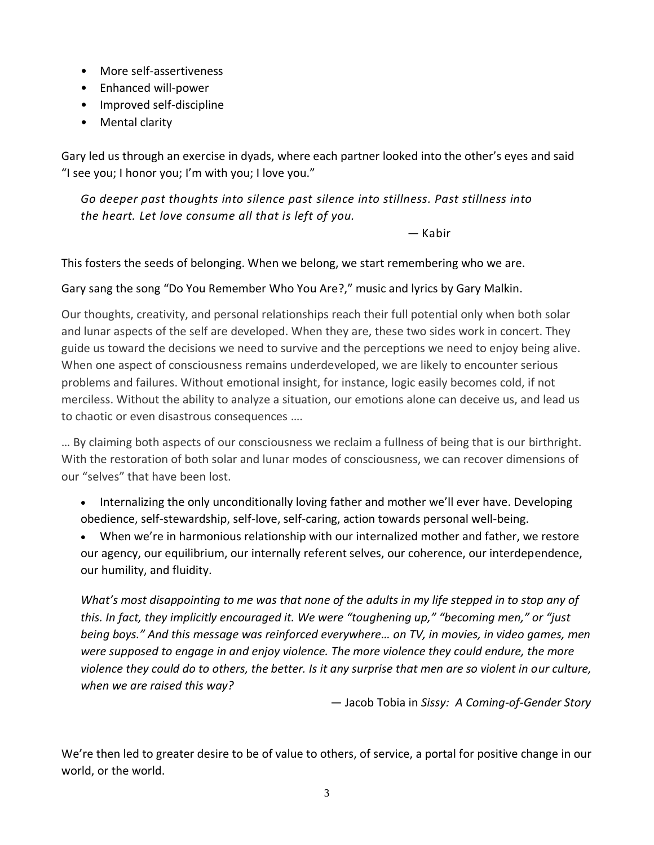- More self-assertiveness
- Enhanced will-power
- Improved self-discipline
- Mental clarity

Gary led us through an exercise in dyads, where each partner looked into the other's eyes and said "I see you; I honor you; I'm with you; I love you."

*Go deeper past thoughts into silence past silence into stillness. Past stillness into the heart. Let love consume all that is left of you.*

― Kabir

This fosters the seeds of belonging. When we belong, we start remembering who we are.

## Gary sang the song "Do You Remember Who You Are?," music and lyrics by Gary Malkin.

Our thoughts, creativity, and personal relationships reach their full potential only when both solar and lunar aspects of the self are developed. When they are, these two sides work in concert. They guide us toward the decisions we need to survive and the perceptions we need to enjoy being alive. When one aspect of consciousness remains underdeveloped, we are likely to encounter serious problems and failures. Without emotional insight, for instance, logic easily becomes cold, if not merciless. Without the ability to analyze a situation, our emotions alone can deceive us, and lead us to chaotic or even disastrous consequences ….

… By claiming both aspects of our consciousness we reclaim a fullness of being that is our birthright. With the restoration of both solar and lunar modes of consciousness, we can recover dimensions of our "selves" that have been lost.

• Internalizing the only unconditionally loving father and mother we'll ever have. Developing obedience, self-stewardship, self-love, self-caring, action towards personal well-being.

• When we're in harmonious relationship with our internalized mother and father, we restore our agency, our equilibrium, our internally referent selves, our coherence, our interdependence, our humility, and fluidity.

*What's most disappointing to me was that none of the adults in my life stepped in to stop any of this. In fact, they implicitly encouraged it. We were "toughening up," "becoming men," or "just being boys." And this message was reinforced everywhere… on TV, in movies, in video games, men were supposed to engage in and enjoy violence. The more violence they could endure, the more violence they could do to others, the better. Is it any surprise that men are so violent in our culture, when we are raised this way?*

― Jacob Tobia in *Sissy: A Coming-of-Gender Story*

We're then led to greater desire to be of value to others, of service, a portal for positive change in our world, or the world.